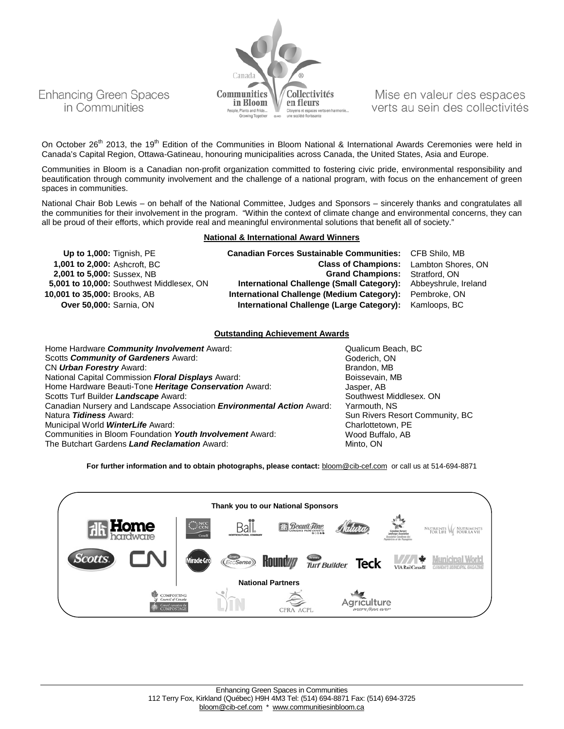

Mise en valeur des espaces verts au sein des collectivités

On October 26<sup>th</sup> 2013, the 19<sup>th</sup> Edition of the Communities in Bloom National & International Awards Ceremonies were held in Canada's Capital Region, Ottawa-Gatineau, honouring municipalities across Canada, the United States, Asia and Europe.

Communities in Bloom is a Canadian non-profit organization committed to fostering civic pride, environmental responsibility and beautification through community involvement and the challenge of a national program, with focus on the enhancement of green spaces in communities.

National Chair Bob Lewis – on behalf of the National Committee, Judges and Sponsors – sincerely thanks and congratulates all the communities for their involvement in the program. "Within the context of climate change and environmental concerns, they can all be proud of their efforts, which provide real and meaningful environmental solutions that benefit all of society."

#### **National & International Award Winners**

| Up to 1,000: Tignish, PE                 | <b>Canadian Forces Sustainable Communities: CFB Shilo, MB</b>  |  |
|------------------------------------------|----------------------------------------------------------------|--|
| 1,001 to 2,000: Ashcroft, BC             | <b>Class of Champions:</b> Lambton Shores, ON                  |  |
| 2,001 to 5,000: Sussex, NB               | <b>Grand Champions:</b> Stratford, ON                          |  |
| 5,001 to 10,000: Southwest Middlesex, ON | International Challenge (Small Category): Abbeyshrule, Ireland |  |
| 10,001 to 35,000: Brooks, AB             | International Challenge (Medium Category): Pembroke, ON        |  |
| <b>Over 50,000: Sarnia, ON</b>           | International Challenge (Large Category): Kamloops, BC         |  |

#### **Outstanding Achievement Awards**

Home Hardware *Community Involvement* Award: Community Involvement Award: Qualicum Beach, BC<br>
Scotts *Community of Gardeners* Award: Community and Beach, ON Scotts **Community of Gardeners** Award: Goderich, ON Urban Forestry Award: Goderich, ON Urban Forestry Award: CN *Urban Forestry* Award: Brandon, MB National Capital Commission **Floral Displays** Award: Home Hardware Beauti-Tone *Heritage Conservation* Award: *Jasper, AB*<br>Sootts Turf Builder *Landscape* Award: **January American Conservation Conservation** Southwest Middlesex. ON Scotts Turf Builder *Landscape* Award:<br>Canadian Nursery and Landscape Association *Environmental Action* Award: Yarmouth, NS Canadian Nursery and Landscape Association *Environmental Action* Award:<br>Natura *Tidiness* Award: Municipal World **WinterLife** Award: Communities in Bloom Foundation *Youth Involvement* Award: Wood Buffalo, AB The Butchart Gardens *Land Reclamation* Award: Minto, ON Minto, ON

Sun Rivers Resort Community, BC<br>Charlottetown, PE

For further information and to obtain photographs, please contact: **[bloom@cib-cef.com](mailto:bloom@cib-cef.com)** or call us at 514-694-8871

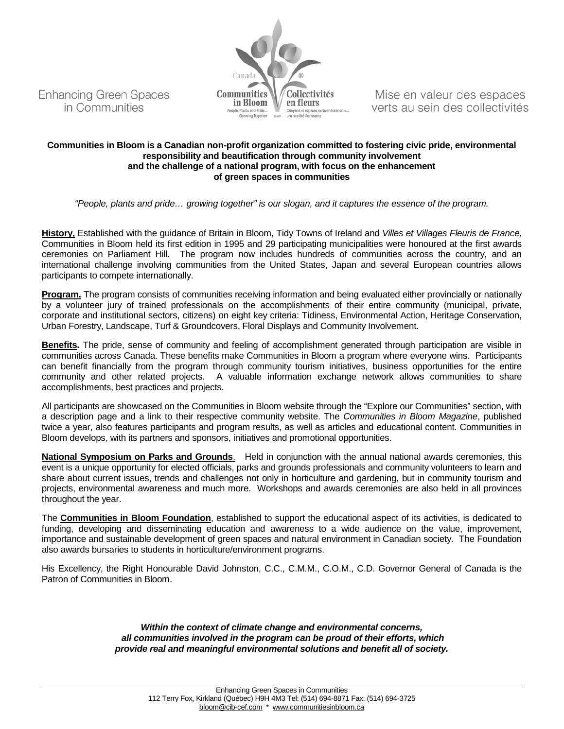



Mise en valeur des espaces verts au sein des collectivités

### **Communities in Bloom is a Canadian non-profit organization committed to fostering civic pride, environmental responsibility and beautification through community involvement and the challenge of a national program, with focus on the enhancement of green spaces in communities**

*"People, plants and pride… growing together" is our slogan, and it captures the essence of the program.*

**History,** Established with the guidance of Britain in Bloom, Tidy Towns of Ireland and *Villes et Villages Fleuris de France,*  Communities in Bloom held its first edition in 1995 and 29 participating municipalities were honoured at the first awards ceremonies on Parliament Hill. The program now includes hundreds of communities across the country, and an international challenge involving communities from the United States, Japan and several European countries allows participants to compete internationally.

**Program.** The program consists of communities receiving information and being evaluated either provincially or nationally by a volunteer jury of trained professionals on the accomplishments of their entire community (municipal, private, corporate and institutional sectors, citizens) on eight key criteria: Tidiness, Environmental Action, Heritage Conservation, Urban Forestry, Landscape, Turf & Groundcovers, Floral Displays and Community Involvement.

**Benefits.** The pride, sense of community and feeling of accomplishment generated through participation are visible in communities across Canada. These benefits make Communities in Bloom a program where everyone wins. Participants can benefit financially from the program through community tourism initiatives, business opportunities for the entire community and other related projects. A valuable information exchange network allows communities to share accomplishments, best practices and projects.

All participants are showcased on the Communities in Bloom website through the "Explore our Communities" section, with a description page and a link to their respective community website. The *Communities in Bloom Magazine*, published twice a year, also features participants and program results, as well as articles and educational content. Communities in Bloom develops, with its partners and sponsors, initiatives and promotional opportunities.

**National Symposium on Parks and Grounds**. Held in conjunction with the annual national awards ceremonies, this event is a unique opportunity for elected officials, parks and grounds professionals and community volunteers to learn and share about current issues, trends and challenges not only in horticulture and gardening, but in community tourism and projects, environmental awareness and much more. Workshops and awards ceremonies are also held in all provinces throughout the year.

The **Communities in Bloom Foundation**, established to support the educational aspect of its activities, is dedicated to funding, developing and disseminating education and awareness to a wide audience on the value, improvement, importance and sustainable development of green spaces and natural environment in Canadian society. The Foundation also awards bursaries to students in horticulture/environment programs.

His Excellency, the Right Honourable David Johnston, C.C., C.M.M., C.O.M., C.D. Governor General of Canada is the Patron of Communities in Bloom.

> *Within the context of climate change and environmental concerns, all communities involved in the program can be proud of their efforts, which provide real and meaningful environmental solutions and benefit all of society.*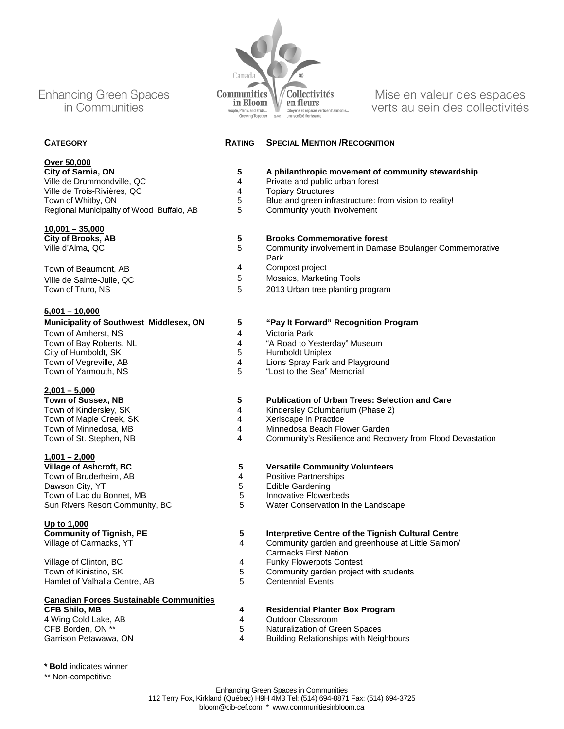**Over 50,000**<br>City of Sarnia, ON **City of Sarnia, ON 5 A philanthropic movement of community stewardship** Ville de Trois-Rivières, QC 4 Topiary Structures Regional Municipality of Wood Buffalo, AB 5 Community youth involvement

## **10,001 – 35,000**

Town of Beaumont, AB 5 1 Compost project<br>
Ville de Sainte-Julie OC 5 1 Mosaics, Marketi Ville de Sainte-Julie, QC 6 Mosaics, Marketing Tools<br>
Town of Truro, NS 6 Mosaics, Marketing I

#### **5,001 – 10,000**

|  |  | <b>Municipality of Southwest Middlesex, ON</b> |  |
|--|--|------------------------------------------------|--|
|  |  |                                                |  |

Town of Amherst, NS<br>
Town of Bay Roberts, NL<br>
Town of Bay Roberts, NL<br>
4
4
4
Road to Y City of Humboldt, SK

## **2,001 – 5,000**

Town of Maple Creek, SK 4 Xeriscape in Practice Town of Minnedosa, MB 4 Minnedosa Beach Flower Garden

**1,001 – 2,000** Town of Bruderheim, AB 4 Positive Partnerships Town of Lac du Bonnet, MB<br>
Sun Rivers Resort Community, BC<br>
5

**Up to 1,000**

Village of Clinton, BC<br>
Town of Kinistino, SK

Town of Kinistino, SK

Town of Kinistino, SK

Town of Kinistino, SK

Town of Kinistino, SK

Town of Kinistino, SK

Town of Kinistino, SK

Town of Kinistino, SK

Town of Kinist Hamlet of Valhalla Centre, AB

#### **Canadian Forces Sustainable Communities**

4 Wing Cold Lake, AB 4 Outdoor Classroom CFB Borden, ON \*\* 5 Naturalization of Green Spaces

Canada **2013 Communities N** Collectivités<br>in Bloom **N** en fleurs People, Plants and Pride... Citoyens et espaces verts Growing Together

Mise en valeur des espaces verts au sein des collectivités

### **CATEGORY RATING SPECIAL MENTION /RECOGNITION**

- 4 Private and public urban forest<br>4 Private Structures
- 
- 5 Blue and green infrastructure: from vision to reality!<br>5 Community youth involvement
	-

## **City of Brooks, AB 5 Brooks Commemorative forest**

- 5 Community involvement in Damase Boulanger Commemorative Park
	-
	-
- Town of Truro, NS 6 2013 Urban tree planting program

#### **Municipality of Southwest Middlesex, ON 5 "Pay It Forward" Recognition Program**

- 
- 4 "A Road to Yesterday" Museum<br>5 Humboldt Uniplex
	-
- Town of Vegreville, AB 4 Lions Spray Park and Playground
- Town of Yarmouth, NS 6 6 The Seam of Yarmouth, NS 6 The Seam of Seam of Seam of Seam of the Seam of The Seam of T

# **Town of Sussex, NB 5 5 Publication of Urban Trees: Selection and Care**<br>Town of Kindersley, SK **1 1 1 1 Kindersley Columbarium (Phase 2)**

- 4 Kindersley Columbarium (Phase 2)<br>4 Xeriscape in Practice
	-
	-
	- Community's Resilience and Recovery from Flood Devastation

# **5 Versatile Community Volunteers**<br>**4 Positive Partnerships**

- 
- 5 Edible Gardening<br>5 Innovative Flowerbeds
	-
	- Water Conservation in the Landscape

## **Community of Tignish, PE 5 Interpretive Centre of the Tignish Cultural Centre**<br>Village of Carmacks, YT **1990 12 A** Community garden and greenhouse at Little Salmon/

- Community garden and greenhouse at Little Salmon/ Carmacks First Nation
- 
- 5 Community garden project with students<br>5 Centennial Events
	-

# **CFB Shilo, MB 4 A Residential Planter Box Program**<br>4 **Wing Cold Lake, AB 4 4 Outdoor Classroom**

- 
- 
- Building Relationships with Neighbours

- **\* Bold** indicates winner
- \*\* Non-competitive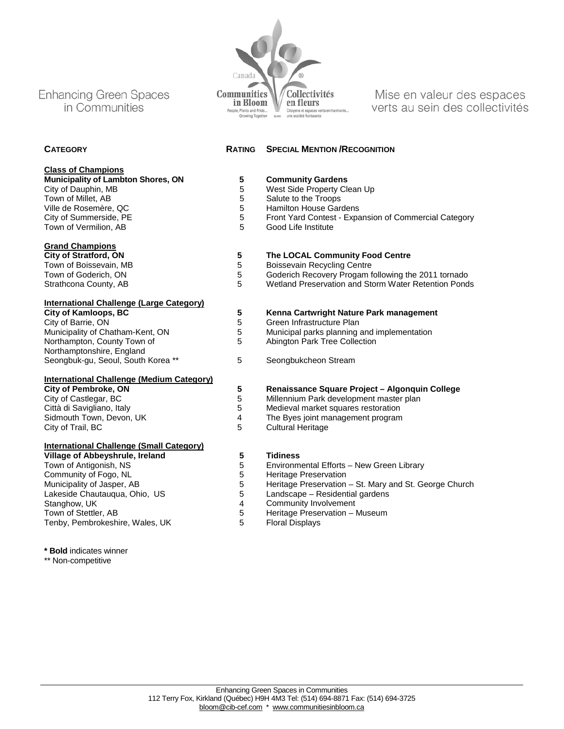**Class of Champions**

Town of Vermilion, AB

**Grand Champions**<br>City of Stratford, ON

**International Challenge (Large Category)**

**International Challenge (Medium Category)**

**International Challenge (Small Category)** 

Community of Fogo, NL<br>
Municipality of Jasper, AB<br>
5

Northampton, County Town of Northamptonshire, England



Mise en valeur des espaces verts au sein des collectivités

### **CATEGORY RATING SPECIAL MENTION /RECOGNITION**

| Municipality of Lambton Shores, ON | <b>Community Gardens</b> |
|------------------------------------|--------------------------|
| City of Dauphin, MB                | West Side Property Cle   |

- City of Dauphin, MB<br>
Town of Millet, AB<br>
Town of Millet, AB<br>
Town of Millet, AB
- Town of Millet, AB 5 Salute to the Troops<br>
Ville de Rosemère, QC 6 1999 5 Hamilton House Gare
- Ville de Rosemère, QC 6 de result de Rosemère, QC 6 de result de 15 de Rosemère, Dieu et al. et al. et al. et<br>
5 Front Yard Contest Expansion House Gardens (1990) de la contest de la proponent de la contest de la conte<br>
	- 5 Front Yard Contest Expansion of Commercial Category<br>5 Good Life Institute
		-

### **City of Stratford, ON 5 The LOCAL Community Food Centre**

- 
- Town of Boissevain, MB<br>
Town of Goderich, ON

Town of Goderich, ON

Town of Goderich, ON

Town of Goderich Recovery Progam from the Control of Solution Control of Solution Control of Solution Control of Solution Control of Town of Goderich, ON 6 Goderich Recovery Progam following the 2011 tornado<br>Strathcona County, AB 6 Goderich Reservation and Storm Water Retention Ponds
	- Wetland Preservation and Storm Water Retention Ponds

## **City of Kamloops, BC 5 5 5 Kenna Cartwright Nature Park management**<br>City of Barrie, ON **5 5 6** Green Infrastructure Plan

- 
- City of Barrie, ON 6 Green Infrastructure Plan<br>
Municipality of Chatham-Kent, ON 5 Municipal parks planning 5 Municipal parks planning and implementation<br>5 Abington Park Tree Collection
	- Abington Park Tree Collection
- Seongbuk-gu, Seoul, South Korea \*\* 5 Seongbukcheon Stream

#### **City of Pembroke, ON 5 Renaissance Square Project – Algonquin College**

- City of Castlegar, BC 5 Millennium Park development master plan
- Città di Savigliano, Italy 1988 Medieval market squares restoration<br>
Sidmouth Town, Devon, UK
1888 Medieval 1988 Sidmouth Town, Devon, UK
- Sidmouth Town, Devon, UK 4 The Byes joint management program
	- Cultural Heritage

- **Village of Abbeyshrule, Ireland 5 Tidiness** 5 Environmental Efforts – New Green Library<br>5 Heritage Preservation
	-
- Municipality of Jasper, AB 5 Heritage Preservation St. Mary and St. George Church<br>
Lakeside Chautaugua, Ohio, US 5 Landscape Residential gardens
- Lakeside Chautauqua, Ohio, US 6 1 Landscape Residential gardens<br>
Stanghow, UK<br>
4 Community Involvement
- Stanghow, UK<br>
Town of Stettler, AB<br>
Town of Stettler, AB<br>
Theritage Preservation I
	- 5 Heritage Preservation Museum<br>5 Floral Displays
		-

**\* Bold** indicates winner

Tenby, Pembrokeshire, Wales, UK

\*\* Non-competitive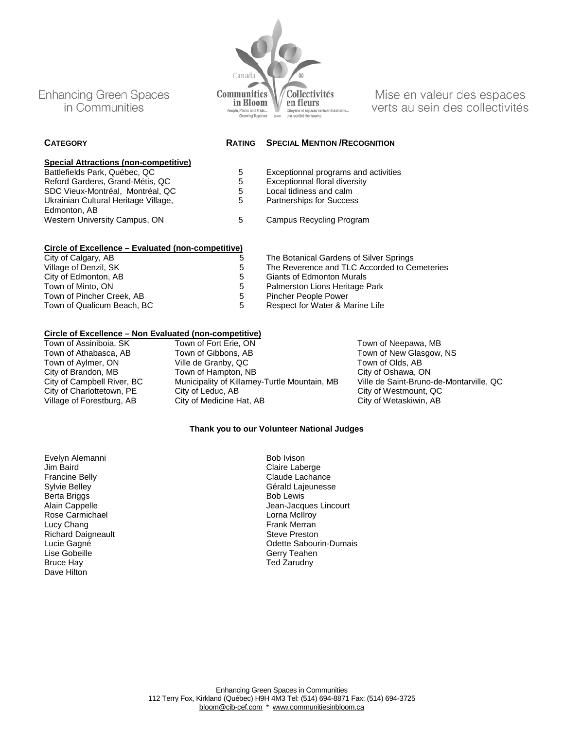# **Special Attractions (non-competitive)**

Reford Gardens, Grand-Métis, QC 5 Exceptionnal floral diversity CO 6 Exceptionnal floral diversity CO 6 Exceptionnal floral diversity CO 6 Exceptionnal floral diversity CO 6 Exceptionnal floral diversity CO 6 Exceptionnal SDC Vieux-Montréal, Montréal, QC 5 Local tidiness and calm Ukrainian Cultural Heritage Village, Edmonton, AB Western University Campus, ON 5 Campus Recycling Program

## **Circle of Excellence – Evaluated (non-competitive)**

City of Calgary, AB  $\overline{5}$  The Botanical Gardens of Silver Springs<br>
Village of Denzil, SK  $\overline{5}$  The Reverence and TLC Accorded to Ce Village of Denzil, SK 6 The Reverence and TLC Accorded to Cemeteries<br>
City of Edmonton, AB
1999 City of Edmonton Murals City of Edmonton, AB 6 Giants of Edmonton Murals<br>Town of Minto. ON 6 Giants of Palmerston Lions Heritage I Town of Pincher Creek, AB 5 Pincher People Power<br>Town of Qualicum Beach, BC 5 5 Respect for Water & M

Town of Assiniboia, SK Town of Fort Erie, ON Town of Neepawa, MB<br>Town of Athabasca, AB Town of Gibbons, AB Town of New Glasgow, Town of Gibbons, AB Town of New Glasgow, NS<br>Town of Olds, AB Town of Olds, AB Town of Aylmer, ON Ville de Granby, QC<br>City of Brandon. MB Town of Hampton. NB City of Oshawa. ON City of Brandon, MB Town of Hampton, NB City of Oshawa, ON<br>City of Campbell River. BC Municipality of Killarney-Turtle Mountain. MB Ville de Saint-Bruno-de-Montarville. QC

City of Westmount, QC

#### **Thank you to our Volunteer National Judges**

Evelyn Alemanni Jim Baird Francine Belly Sylvie Belley Berta Briggs Alain Cappelle Rose Carmichael Lucy Chang Richard Daigneault Lucie Gagné Lise Gobeille Bruce Hay Dave Hilton

Claire Laberge Claude Lachance Gérald Lajeunesse Bob Lewis Jean-Jacques Lincourt Lorna McIlroy Frank Merran Steve Preston Odette Sabourin-Dumais Gerry Teahen Ted Zarudny

**CATEGORY RATING SPECIAL MENTION /RECOGNITION**

- 5 Exceptionnal programs and activities<br>5 Exceptionnal floral diversity
	-
	-
	- 5 Partnerships for Success
	- -
		-
	-

Palmerston Lions Heritage Park

- 
- 

Town of Qualicum Beach, BC 6 The State of Beapect for Water & Marine Life

# **Circle of Excellence – Non Evaluated (non-competitive)**

City of Campbell River, BC Municipality of Killarney-Turtle Mountain, MB<br>City of Charlottetown. PE City of Leduc. AB Village of Forestburg, AB City of Medicine Hat, AB City of Wetaskiwin, AB Bob Ivison

Mise en valeur des espaces verts au sein des collectivités